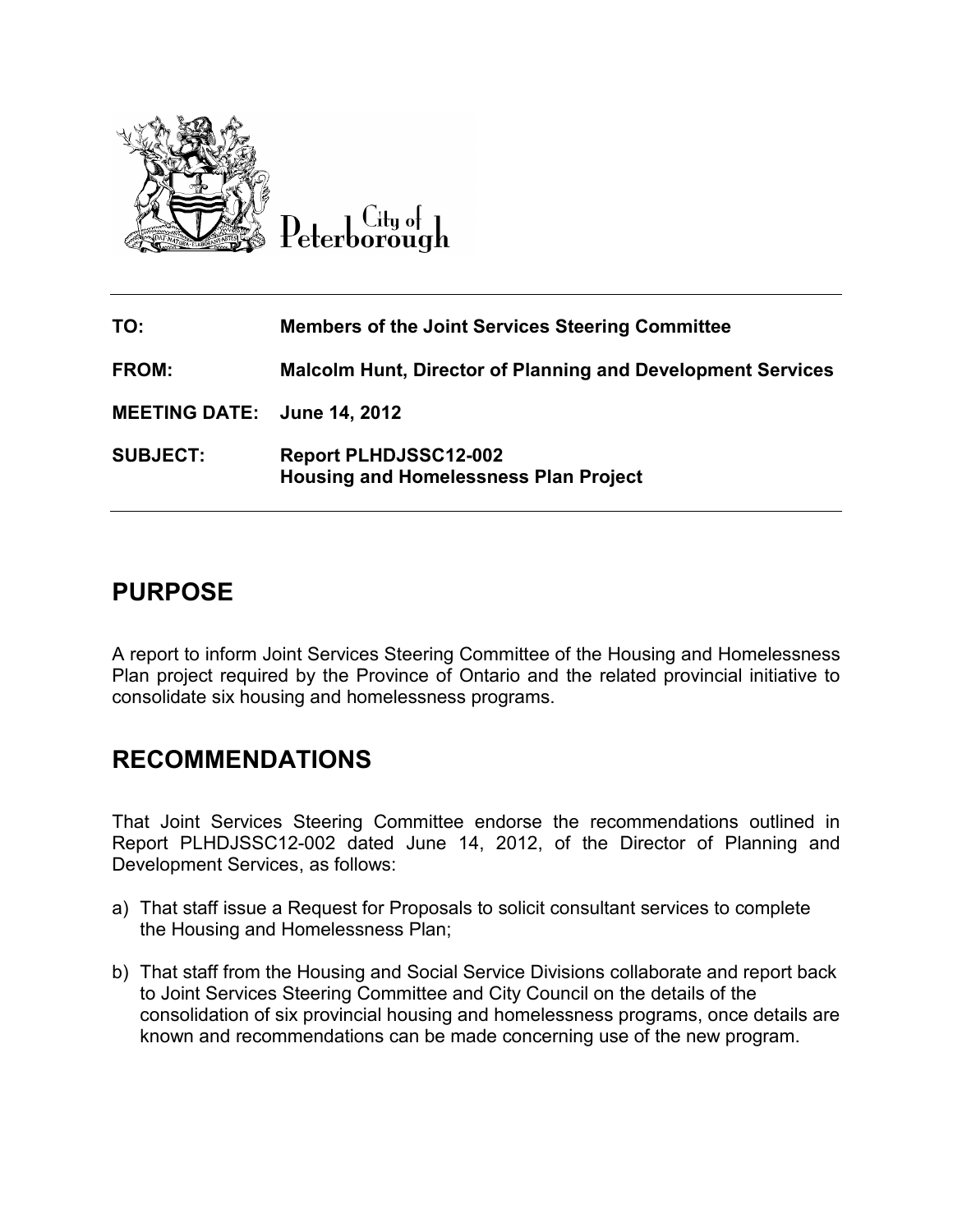

Lity of eterborough

| TO:                         | <b>Members of the Joint Services Steering Committee</b>                      |
|-----------------------------|------------------------------------------------------------------------------|
| <b>FROM:</b>                | <b>Malcolm Hunt, Director of Planning and Development Services</b>           |
| MEETING DATE: June 14, 2012 |                                                                              |
| <b>SUBJECT:</b>             | <b>Report PLHDJSSC12-002</b><br><b>Housing and Homelessness Plan Project</b> |

# **PURPOSE**

A report to inform Joint Services Steering Committee of the Housing and Homelessness Plan project required by the Province of Ontario and the related provincial initiative to consolidate six housing and homelessness programs.

# **RECOMMENDATIONS**

That Joint Services Steering Committee endorse the recommendations outlined in Report PLHDJSSC12-002 dated June 14, 2012, of the Director of Planning and Development Services, as follows:

- a) That staff issue a Request for Proposals to solicit consultant services to complete the Housing and Homelessness Plan;
- b) That staff from the Housing and Social Service Divisions collaborate and report back to Joint Services Steering Committee and City Council on the details of the consolidation of six provincial housing and homelessness programs, once details are known and recommendations can be made concerning use of the new program.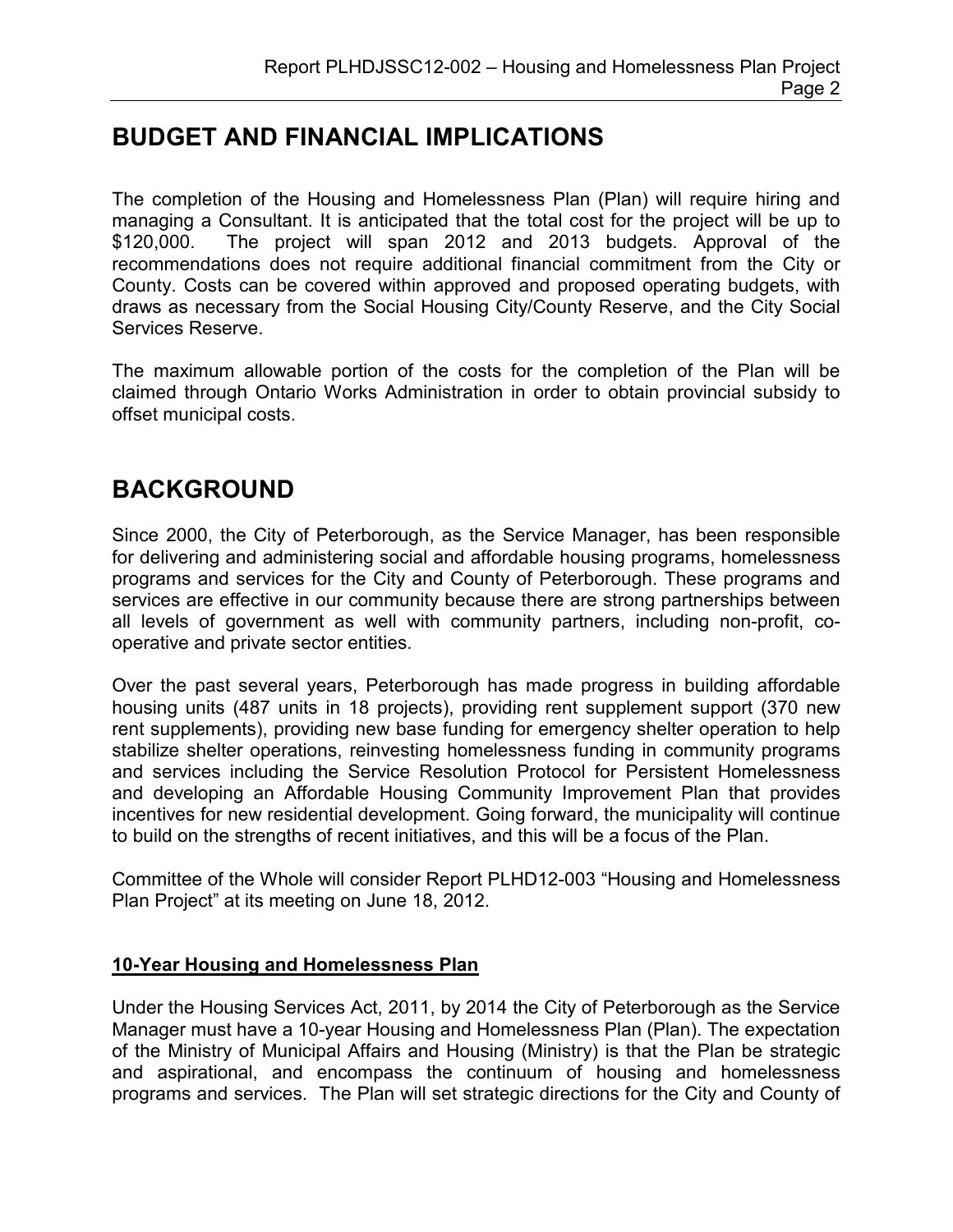# **BUDGET AND FINANCIAL IMPLICATIONS**

The completion of the Housing and Homelessness Plan (Plan) will require hiring and managing a Consultant. It is anticipated that the total cost for the project will be up to \$120,000. The project will span 2012 and 2013 budgets. Approval of the recommendations does not require additional financial commitment from the City or County. Costs can be covered within approved and proposed operating budgets, with draws as necessary from the Social Housing City/County Reserve, and the City Social Services Reserve.

The maximum allowable portion of the costs for the completion of the Plan will be claimed through Ontario Works Administration in order to obtain provincial subsidy to offset municipal costs.

# **BACKGROUND**

Since 2000, the City of Peterborough, as the Service Manager, has been responsible for delivering and administering social and affordable housing programs, homelessness programs and services for the City and County of Peterborough. These programs and services are effective in our community because there are strong partnerships between all levels of government as well with community partners, including non-profit, cooperative and private sector entities.

Over the past several years, Peterborough has made progress in building affordable housing units (487 units in 18 projects), providing rent supplement support (370 new rent supplements), providing new base funding for emergency shelter operation to help stabilize shelter operations, reinvesting homelessness funding in community programs and services including the Service Resolution Protocol for Persistent Homelessness and developing an Affordable Housing Community Improvement Plan that provides incentives for new residential development. Going forward, the municipality will continue to build on the strengths of recent initiatives, and this will be a focus of the Plan.

Committee of the Whole will consider Report PLHD12-003 "Housing and Homelessness Plan Project" at its meeting on June 18, 2012.

## **10-Year Housing and Homelessness Plan**

Under the Housing Services Act, 2011, by 2014 the City of Peterborough as the Service Manager must have a 10-year Housing and Homelessness Plan (Plan). The expectation of the Ministry of Municipal Affairs and Housing (Ministry) is that the Plan be strategic and aspirational, and encompass the continuum of housing and homelessness programs and services. The Plan will set strategic directions for the City and County of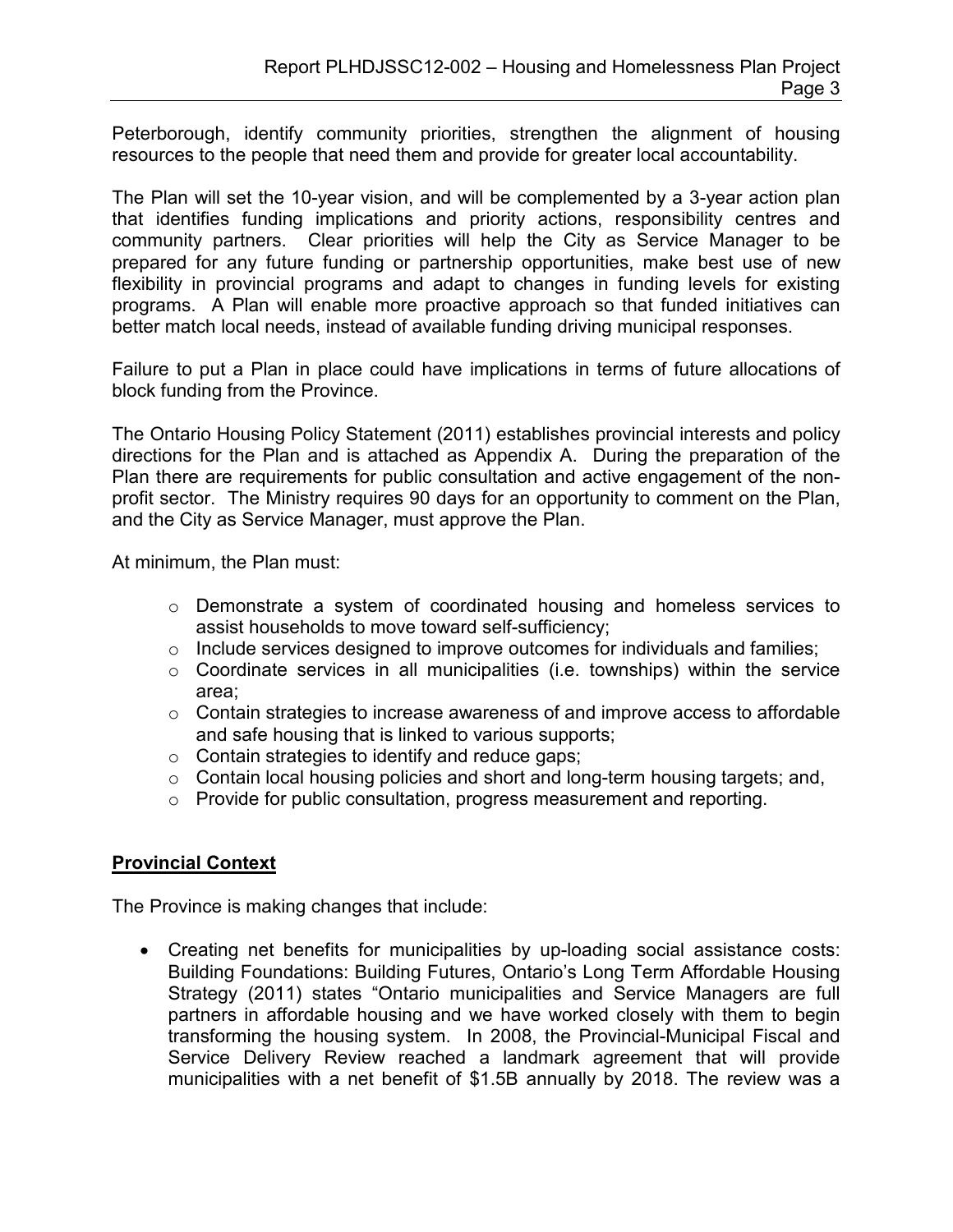Peterborough, identify community priorities, strengthen the alignment of housing resources to the people that need them and provide for greater local accountability.

The Plan will set the 10-year vision, and will be complemented by a 3-year action plan that identifies funding implications and priority actions, responsibility centres and community partners. Clear priorities will help the City as Service Manager to be prepared for any future funding or partnership opportunities, make best use of new flexibility in provincial programs and adapt to changes in funding levels for existing programs. A Plan will enable more proactive approach so that funded initiatives can better match local needs, instead of available funding driving municipal responses.

Failure to put a Plan in place could have implications in terms of future allocations of block funding from the Province.

The Ontario Housing Policy Statement (2011) establishes provincial interests and policy directions for the Plan and is attached as Appendix A. During the preparation of the Plan there are requirements for public consultation and active engagement of the nonprofit sector. The Ministry requires 90 days for an opportunity to comment on the Plan, and the City as Service Manager, must approve the Plan.

At minimum, the Plan must:

- $\circ$  Demonstrate a system of coordinated housing and homeless services to assist households to move toward self-sufficiency;
- o Include services designed to improve outcomes for individuals and families;
- $\circ$  Coordinate services in all municipalities (i.e. townships) within the service area;
- o Contain strategies to increase awareness of and improve access to affordable and safe housing that is linked to various supports;
- $\circ$  Contain strategies to identify and reduce gaps;
- $\circ$  Contain local housing policies and short and long-term housing targets; and,
- o Provide for public consultation, progress measurement and reporting.

## **Provincial Context**

The Province is making changes that include:

• Creating net benefits for municipalities by up-loading social assistance costs: Building Foundations: Building Futures, Ontario's Long Term Affordable Housing Strategy (2011) states "Ontario municipalities and Service Managers are full partners in affordable housing and we have worked closely with them to begin transforming the housing system. In 2008, the Provincial-Municipal Fiscal and Service Delivery Review reached a landmark agreement that will provide municipalities with a net benefit of \$1.5B annually by 2018. The review was a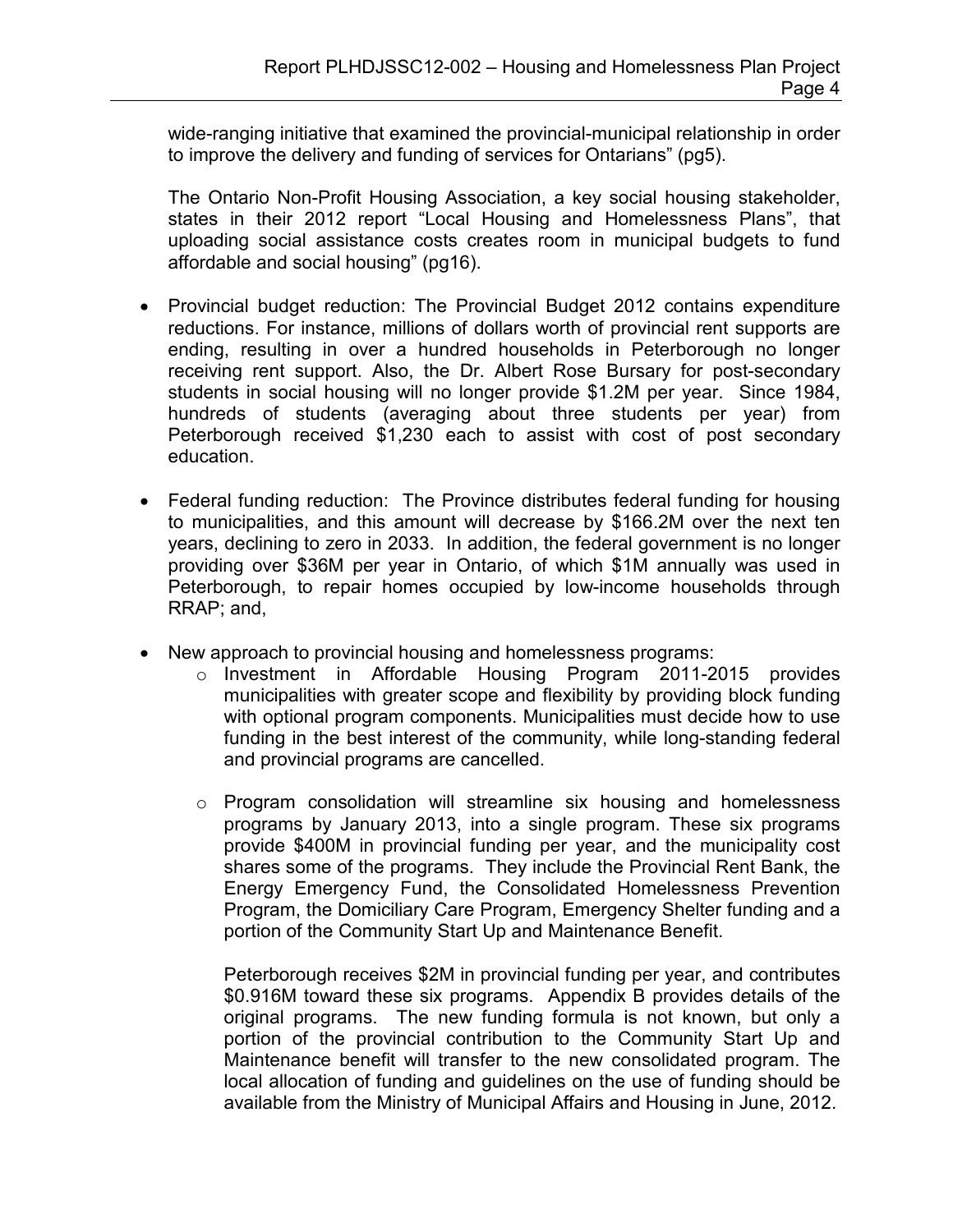wide-ranging initiative that examined the provincial-municipal relationship in order to improve the delivery and funding of services for Ontarians" (pg5).

The Ontario Non-Profit Housing Association, a key social housing stakeholder, states in their 2012 report "Local Housing and Homelessness Plans", that uploading social assistance costs creates room in municipal budgets to fund affordable and social housing" (pg16).

- Provincial budget reduction: The Provincial Budget 2012 contains expenditure reductions. For instance, millions of dollars worth of provincial rent supports are ending, resulting in over a hundred households in Peterborough no longer receiving rent support. Also, the Dr. Albert Rose Bursary for post-secondary students in social housing will no longer provide \$1.2M per year. Since 1984, hundreds of students (averaging about three students per year) from Peterborough received \$1,230 each to assist with cost of post secondary education.
- Federal funding reduction: The Province distributes federal funding for housing to municipalities, and this amount will decrease by \$166.2M over the next ten years, declining to zero in 2033. In addition, the federal government is no longer providing over \$36M per year in Ontario, of which \$1M annually was used in Peterborough, to repair homes occupied by low-income households through RRAP; and,
- New approach to provincial housing and homelessness programs:
	- $\circ$  Investment in Affordable Housing Program 2011-2015 provides municipalities with greater scope and flexibility by providing block funding with optional program components. Municipalities must decide how to use funding in the best interest of the community, while long-standing federal and provincial programs are cancelled.
	- o Program consolidation will streamline six housing and homelessness programs by January 2013, into a single program. These six programs provide \$400M in provincial funding per year, and the municipality cost shares some of the programs. They include the Provincial Rent Bank, the Energy Emergency Fund, the Consolidated Homelessness Prevention Program, the Domiciliary Care Program, Emergency Shelter funding and a portion of the Community Start Up and Maintenance Benefit.

Peterborough receives \$2M in provincial funding per year, and contributes \$0.916M toward these six programs. Appendix B provides details of the original programs. The new funding formula is not known, but only a portion of the provincial contribution to the Community Start Up and Maintenance benefit will transfer to the new consolidated program. The local allocation of funding and guidelines on the use of funding should be available from the Ministry of Municipal Affairs and Housing in June, 2012.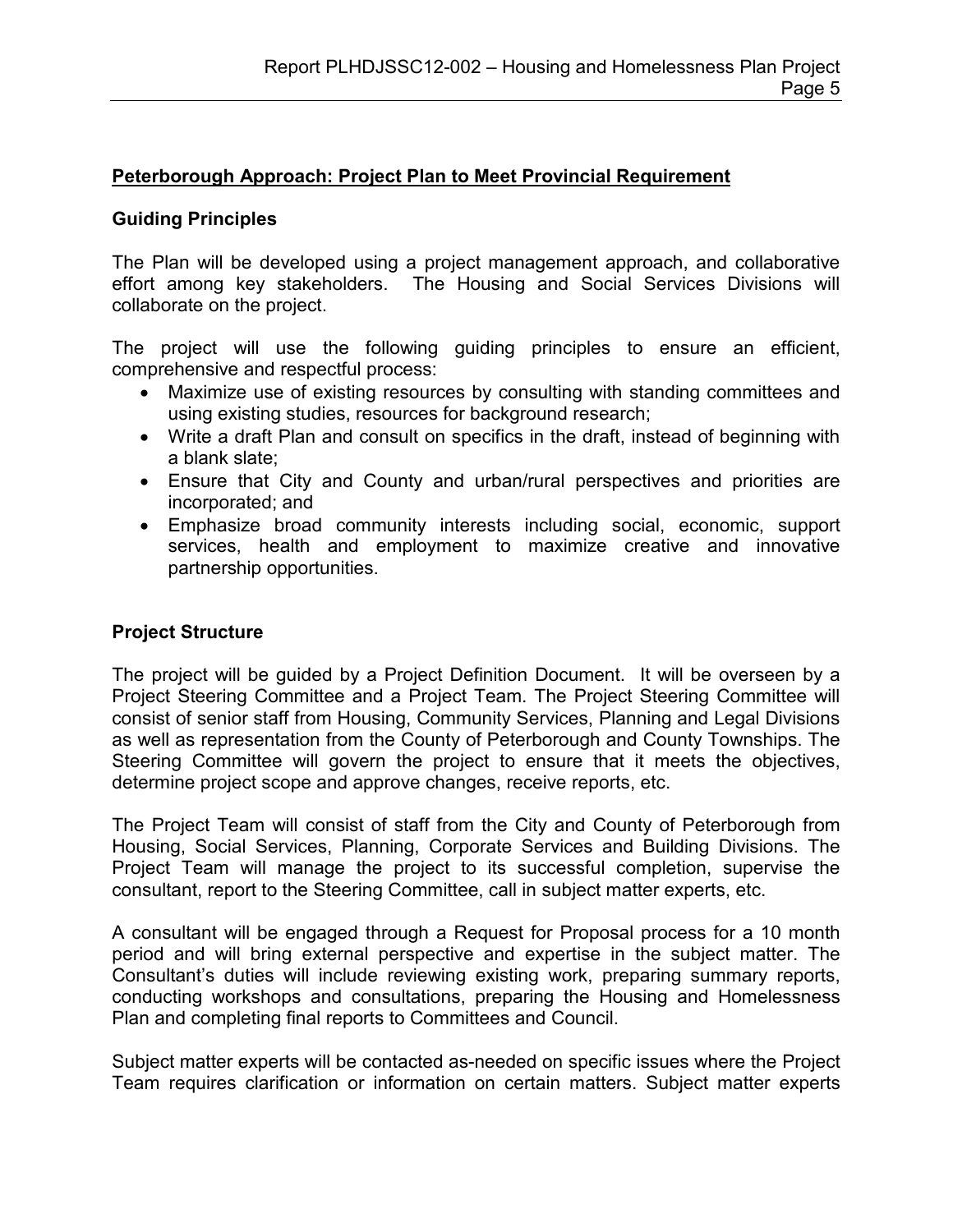## **Peterborough Approach: Project Plan to Meet Provincial Requirement**

#### **Guiding Principles**

The Plan will be developed using a project management approach, and collaborative effort among key stakeholders. The Housing and Social Services Divisions will collaborate on the project.

The project will use the following guiding principles to ensure an efficient, comprehensive and respectful process:

- Maximize use of existing resources by consulting with standing committees and using existing studies, resources for background research;
- Write a draft Plan and consult on specifics in the draft, instead of beginning with a blank slate;
- Ensure that City and County and urban/rural perspectives and priorities are incorporated; and
- Emphasize broad community interests including social, economic, support services, health and employment to maximize creative and innovative partnership opportunities.

## **Project Structure**

The project will be guided by a Project Definition Document. It will be overseen by a Project Steering Committee and a Project Team. The Project Steering Committee will consist of senior staff from Housing, Community Services, Planning and Legal Divisions as well as representation from the County of Peterborough and County Townships. The Steering Committee will govern the project to ensure that it meets the objectives, determine project scope and approve changes, receive reports, etc.

The Project Team will consist of staff from the City and County of Peterborough from Housing, Social Services, Planning, Corporate Services and Building Divisions. The Project Team will manage the project to its successful completion, supervise the consultant, report to the Steering Committee, call in subject matter experts, etc.

A consultant will be engaged through a Request for Proposal process for a 10 month period and will bring external perspective and expertise in the subject matter. The Consultant's duties will include reviewing existing work, preparing summary reports, conducting workshops and consultations, preparing the Housing and Homelessness Plan and completing final reports to Committees and Council.

Subject matter experts will be contacted as-needed on specific issues where the Project Team requires clarification or information on certain matters. Subject matter experts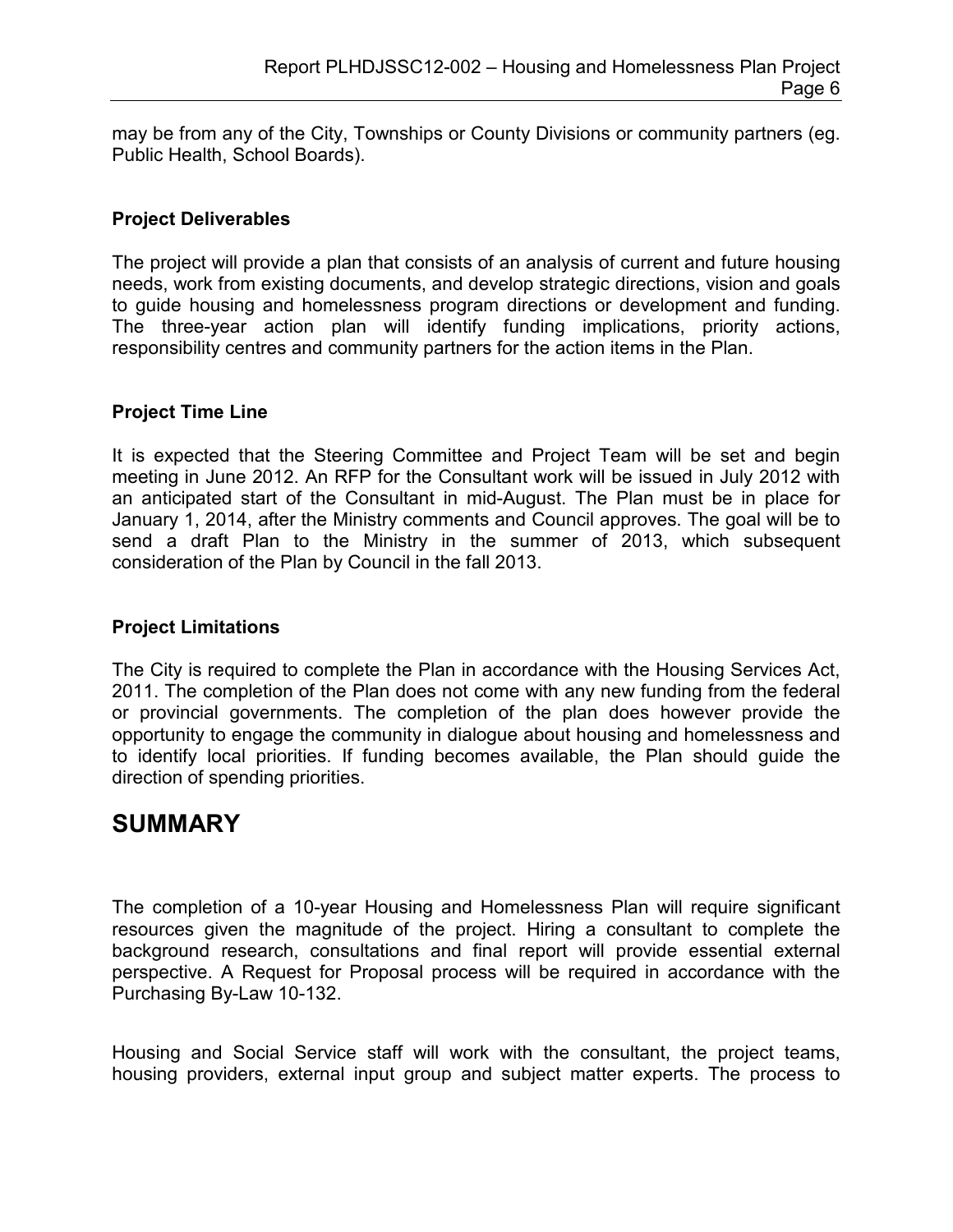may be from any of the City, Townships or County Divisions or community partners (eg. Public Health, School Boards).

#### **Project Deliverables**

The project will provide a plan that consists of an analysis of current and future housing needs, work from existing documents, and develop strategic directions, vision and goals to guide housing and homelessness program directions or development and funding. The three-year action plan will identify funding implications, priority actions, responsibility centres and community partners for the action items in the Plan.

#### **Project Time Line**

It is expected that the Steering Committee and Project Team will be set and begin meeting in June 2012. An RFP for the Consultant work will be issued in July 2012 with an anticipated start of the Consultant in mid-August. The Plan must be in place for January 1, 2014, after the Ministry comments and Council approves. The goal will be to send a draft Plan to the Ministry in the summer of 2013, which subsequent consideration of the Plan by Council in the fall 2013.

### **Project Limitations**

The City is required to complete the Plan in accordance with the Housing Services Act, 2011. The completion of the Plan does not come with any new funding from the federal or provincial governments. The completion of the plan does however provide the opportunity to engage the community in dialogue about housing and homelessness and to identify local priorities. If funding becomes available, the Plan should guide the direction of spending priorities.

# **SUMMARY**

The completion of a 10-year Housing and Homelessness Plan will require significant resources given the magnitude of the project. Hiring a consultant to complete the background research, consultations and final report will provide essential external perspective. A Request for Proposal process will be required in accordance with the Purchasing By-Law 10-132.

Housing and Social Service staff will work with the consultant, the project teams, housing providers, external input group and subject matter experts. The process to